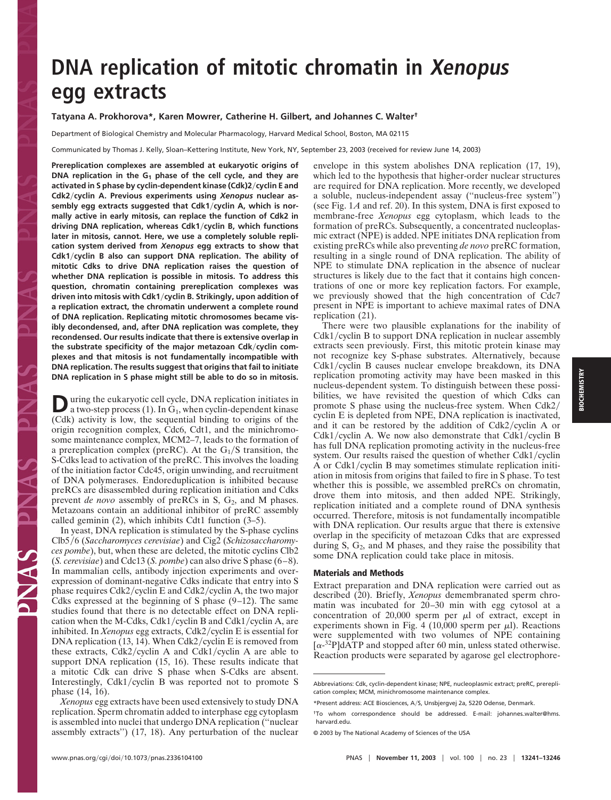# **DNA replication of mitotic chromatin in Xenopus egg extracts**

## **Tatyana A. Prokhorova\*, Karen Mowrer, Catherine H. Gilbert, and Johannes C. Walter†**

Department of Biological Chemistry and Molecular Pharmacology, Harvard Medical School, Boston, MA 02115

Communicated by Thomas J. Kelly, Sloan–Kettering Institute, New York, NY, September 23, 2003 (received for review June 14, 2003)

**Prereplication complexes are assembled at eukaryotic origins of DNA replication in the G1 phase of the cell cycle, and they are activated in S phase by cyclin-dependent kinase (Cdk)2cyclin E and Cdk2cyclin A. Previous experiments using** *Xenopus* **nuclear assembly egg extracts suggested that Cdk1cyclin A, which is normally active in early mitosis, can replace the function of Cdk2 in driving DNA replication, whereas Cdk1cyclin B, which functions later in mitosis, cannot. Here, we use a completely soluble replication system derived from** *Xenopus* **egg extracts to show that Cdk1cyclin B also can support DNA replication. The ability of mitotic Cdks to drive DNA replication raises the question of whether DNA replication is possible in mitosis. To address this question, chromatin containing prereplication complexes was driven into mitosis with Cdk1cyclin B. Strikingly, upon addition of a replication extract, the chromatin underwent a complete round of DNA replication. Replicating mitotic chromosomes became visibly decondensed, and, after DNA replication was complete, they recondensed. Our results indicate that there is extensive overlap in the substrate specificity of the major metazoan Cdkcyclin complexes and that mitosis is not fundamentally incompatible with DNA replication. The results suggest that origins that fail to initiate DNA replication in S phase might still be able to do so in mitosis.**

**D**uring the eukaryotic cell cycle, DNA replication initiates in a two-step process (1). In G<sub>1</sub>, when cyclin-dependent kinase (Cdk) activity is low, the sequential binding to origins of the origin recognition complex, Cdc6, Cdt1, and the minichromosome maintenance complex, MCM2–7, leads to the formation of a prereplication complex (preRC). At the  $G_1/S$  transition, the S-Cdks lead to activation of the preRC. This involves the loading of the initiation factor Cdc45, origin unwinding, and recruitment of DNA polymerases. Endoreduplication is inhibited because preRCs are disassembled during replication initiation and Cdks prevent *de novo* assembly of preRCs in S, G<sub>2</sub>, and M phases. Metazoans contain an additional inhibitor of preRC assembly called geminin (2), which inhibits Cdt1 function (3–5).

In yeast, DNA replication is stimulated by the S-phase cyclins Clb5/6 (Saccharomyces cerevisiae) and Cig2 (*Schizosaccharomyces pombe*), but, when these are deleted, the mitotic cyclins Clb2 (*S. cerevisiae*) and Cdc13 (*S. pombe*) can also drive S phase (6–8). In mammalian cells, antibody injection experiments and overexpression of dominant-negative Cdks indicate that entry into S phase requires Cdk2/cyclin E and Cdk2/cyclin A, the two major Cdks expressed at the beginning of S phase (9–12). The same studies found that there is no detectable effect on DNA replication when the M-Cdks, Cdk1/cyclin B and Cdk1/cyclin A, are inhibited. In *Xenopus* egg extracts, Cdk2/cyclin E is essential for DNA replication (13, 14). When Cdk2/cyclin E is removed from these extracts, Cdk2/cyclin A and Cdk1/cyclin A are able to support DNA replication (15, 16). These results indicate that a mitotic Cdk can drive S phase when S-Cdks are absent. Interestingly, Cdk1/cyclin B was reported not to promote  $S$ phase (14, 16).

*Xenopus* egg extracts have been used extensively to study DNA replication. Sperm chromatin added to interphase egg cytoplasm is assembled into nuclei that undergo DNA replication (''nuclear assembly extracts'') (17, 18). Any perturbation of the nuclear envelope in this system abolishes DNA replication (17, 19), which led to the hypothesis that higher-order nuclear structures are required for DNA replication. More recently, we developed a soluble, nucleus-independent assay (''nucleus-free system'') (see Fig. 1*A* and ref. 20). In this system, DNA is first exposed to membrane-free *Xenopus* egg cytoplasm, which leads to the formation of preRCs. Subsequently, a concentrated nucleoplasmic extract (NPE) is added. NPE initiates DNA replication from existing preRCs while also preventing *de novo* preRC formation, resulting in a single round of DNA replication. The ability of NPE to stimulate DNA replication in the absence of nuclear structures is likely due to the fact that it contains high concentrations of one or more key replication factors. For example, we previously showed that the high concentration of Cdc7 present in NPE is important to achieve maximal rates of DNA replication (21).

There were two plausible explanations for the inability of  $Cdk1/cyclin B$  to support DNA replication in nuclear assembly extracts seen previously. First, this mitotic protein kinase may not recognize key S-phase substrates. Alternatively, because  $Cdk1/cyclin B$  causes nuclear envelope breakdown, its DNA replication promoting activity may have been masked in this nucleus-dependent system. To distinguish between these possibilities, we have revisited the question of which Cdks can promote S phase using the nucleus-free system. When Cdk2 cyclin E is depleted from NPE, DNA replication is inactivated, and it can be restored by the addition of  $Cdk2/cyclin A$  or Cdk1/cyclin A. We now also demonstrate that Cdk1/cyclin B has full DNA replication promoting activity in the nucleus-free system. Our results raised the question of whether  $Cdk1/cyclin$ A or Cdk1/cyclin B may sometimes stimulate replication initiation in mitosis from origins that failed to fire in S phase. To test whether this is possible, we assembled preRCs on chromatin, drove them into mitosis, and then added NPE. Strikingly, replication initiated and a complete round of DNA synthesis occurred. Therefore, mitosis is not fundamentally incompatible with DNA replication. Our results argue that there is extensive overlap in the specificity of metazoan Cdks that are expressed during  $S$ ,  $G_2$ , and  $M$  phases, and they raise the possibility that some DNA replication could take place in mitosis.

#### **Materials and Methods**

Extract preparation and DNA replication were carried out as described (20). Briefly, *Xenopus* demembranated sperm chromatin was incubated for 20–30 min with egg cytosol at a concentration of  $20,000$  sperm per  $\mu$ l of extract, except in experiments shown in Fig. 4 (10,000 sperm per  $\mu$ l). Reactions were supplemented with two volumes of NPE containing  $\left[ \alpha^{-32}P \right]$ dATP and stopped after 60 min, unless stated otherwise. Reaction products were separated by agarose gel electrophore-

P PNAS

Abbreviations: Cdk, cyclin-dependent kinase; NPE, nucleoplasmic extract; preRC, prereplication complex; MCM, minichromosome maintenance complex.

<sup>\*</sup>Present address: ACE Biosciences, A/S, Unsbjergvej 2a, 5220 Odense, Denmark.

<sup>†</sup>To whom correspondence should be addressed. E-mail: johanneswalter@hms. harvard.edu.

<sup>© 2003</sup> by The National Academy of Sciences of the USA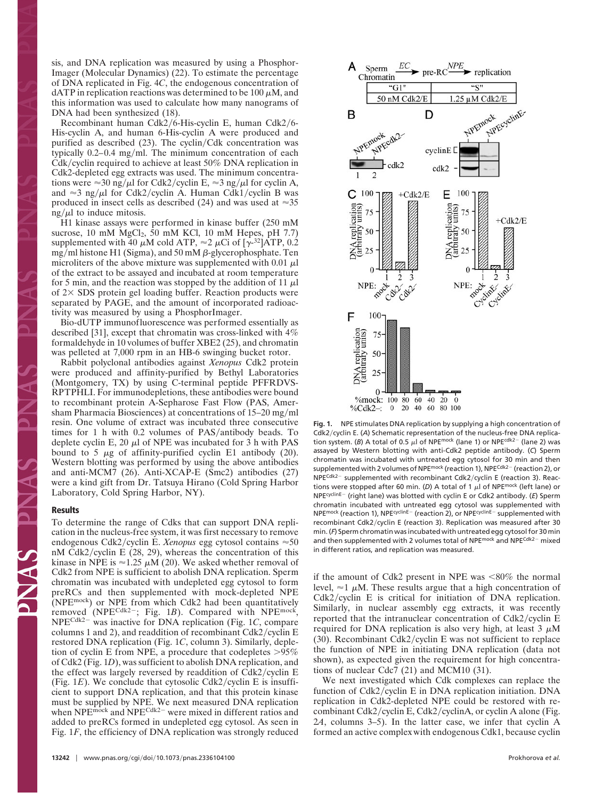sis, and DNA replication was measured by using a Phosphor-Imager (Molecular Dynamics) (22). To estimate the percentage of DNA replicated in Fig. 4*C*, the endogenous concentration of dATP in replication reactions was determined to be 100  $\mu$ M, and this information was used to calculate how many nanograms of DNA had been synthesized (18).

Recombinant human Cdk2/6-His-cyclin E, human Cdk2/6-His-cyclin A, and human 6-His-cyclin A were produced and purified as described  $(23)$ . The cyclin/Cdk concentration was typically  $0.2-0.4$  mg/ml. The minimum concentration of each  $Cdk/cyclin$  required to achieve at least 50% DNA replication in Cdk2-depleted egg extracts was used. The minimum concentrations were  $\approx 30$  ng/ $\mu$ l for Cdk2/cyclin E,  $\approx 3$  ng/ $\mu$ l for cyclin A, and  $\approx$ 3 ng/ $\mu$ l for Cdk2/cyclin A. Human Cdk1/cyclin B was produced in insect cells as described (24) and was used at  $\approx 35$  $ng/\mu l$  to induce mitosis.

H1 kinase assays were performed in kinase buffer (250 mM sucrose,  $10 \text{ mM } MgCl<sub>2</sub>$ ,  $50 \text{ mM } KCl$ ,  $10 \text{ mM } Hepes$ ,  $pH 7.7$ ) supplemented with 40  $\mu$ M cold ATP,  $\approx$  2  $\mu$ Ci of [ $\gamma$ <sup>-32</sup>]ATP, 0.2 mg/ml histone H1 (Sigma), and 50 mM  $\beta$ -glycerophosphate. Ten microliters of the above mixture was supplemented with 0.01  $\mu$ l of the extract to be assayed and incubated at room temperature for 5 min, and the reaction was stopped by the addition of 11  $\mu$ l of  $2 \times$  SDS protein gel loading buffer. Reaction products were separated by PAGE, and the amount of incorporated radioactivity was measured by using a PhosphorImager.

Bio-dUTP immunofluorescence was performed essentially as described [31], except that chromatin was cross-linked with 4% formaldehyde in 10 volumes of buffer XBE2 (25), and chromatin was pelleted at 7,000 rpm in an HB-6 swinging bucket rotor.

Rabbit polyclonal antibodies against *Xenopus* Cdk2 protein were produced and affinity-purified by Bethyl Laboratories (Montgomery, TX) by using C-terminal peptide PFFRDVS-RPTPHLI. For immunodepletions, these antibodies were bound to recombinant protein A-Sepharose Fast Flow (PAS, Amersham Pharmacia Biosciences) at concentrations of  $15-20$  mg/ml resin. One volume of extract was incubated three consecutive times for 1 h with  $0.2$  volumes of PAS/antibody beads. To deplete cyclin E, 20  $\mu$ l of NPE was incubated for 3 h with PAS bound to 5  $\mu$ g of affinity-purified cyclin E1 antibody (20). Western blotting was performed by using the above antibodies and anti-MCM7 (26). Anti-XCAP-E (Smc2) antibodies (27) were a kind gift from Dr. Tatsuya Hirano (Cold Spring Harbor Laboratory, Cold Spring Harbor, NY).

#### **Results**

To determine the range of Cdks that can support DNA replication in the nucleus-free system, it was first necessary to remove endogenous Cdk2/cyclin E. *Xenopus* egg cytosol contains  $\approx 50$ nM Cdk2/cyclin E  $(28, 29)$ , whereas the concentration of this kinase in NPE is  $\approx$  1.25  $\mu$ M (20). We asked whether removal of Cdk2 from NPE is sufficient to abolish DNA replication. Sperm chromatin was incubated with undepleted egg cytosol to form preRCs and then supplemented with mock-depleted NPE (NPEmock) or NPE from which Cdk2 had been quantitatively removed (NPE<sup>Cdk2-</sup>; Fig. 1B). Compared with NPE<sup>mock</sup>, NPE<sup>Cdk2-</sup> was inactive for DNA replication (Fig. 1*C*, compare columns 1 and 2), and readdition of recombinant Cdk2/cyclin  $E$ restored DNA replication (Fig. 1*C*, column 3). Similarly, depletion of cyclin E from NPE, a procedure that codepletes  $>95\%$ of Cdk2 (Fig. 1*D*), was sufficient to abolish DNA replication, and the effect was largely reversed by readdition of  $Cdk2/cyclin E$ (Fig.  $1E$ ). We conclude that cytosolic Cdk2/cyclin E is insufficient to support DNA replication, and that this protein kinase must be supplied by NPE. We next measured DNA replication when  $NPE<sup>ndck</sup>$  and  $NPE<sup>Cdk2</sup>$  were mixed in different ratios and added to preRCs formed in undepleted egg cytosol. As seen in Fig. 1*F*, the efficiency of DNA replication was strongly reduced



**Fig. 1.** NPE stimulates DNA replication by supplying a high concentration of Cdk2/cyclin E. (A) Schematic representation of the nucleus-free DNA replication system. (*B*) A total of 0.5  $\mu$ l of NPE<sup>mock</sup> (lane 1) or NPE<sup>cdk2-</sup> (lane 2) was assayed by Western blotting with anti-Cdk2 peptide antibody. (*C*) Sperm chromatin was incubated with untreated egg cytosol for 30 min and then supplemented with 2 volumes of NPE<sup>mock</sup> (reaction 1), NPE<sup>Cdk2-</sup> (reaction 2), or  $NPE<sup>Cdk2-</sup> supplemented with recombination t Cdk2/cyclin E (reaction 3). Reac$ tions were stopped after 60 min. (D) A total of 1  $\mu$ l of NPE<sup>mock</sup> (left lane) or NPE<sup>cyclinE-</sup> (right lane) was blotted with cyclin E or Cdk2 antibody. (E) Sperm chromatin incubated with untreated egg cytosol was supplemented with NPE<sup>mock</sup> (reaction 1), NPE<sup>cyclinE-</sup> (reaction 2), or NPE<sup>cyclinE-</sup> supplemented with recombinant Cdk2/cyclin E (reaction 3). Replication was measured after 30 min. (*F*) Sperm chromatin was incubated with untreated egg cytosol for 30 min and then supplemented with 2 volumes total of NPE<sup>mock</sup> and NPE<sup>Cdk2-</sup> mixed in different ratios, and replication was measured.

if the amount of Cdk2 present in NPE was  $< 80\%$  the normal level,  $\approx$  1  $\mu$ M. These results argue that a high concentration of  $Cdk2/cyclin$  E is critical for initiation of DNA replication. Similarly, in nuclear assembly egg extracts, it was recently reported that the intranuclear concentration of  $Cdk2/cyclin E$ required for DNA replication is also very high, at least  $3 \mu M$ (30). Recombinant Cdk2/cyclin E was not sufficient to replace the function of NPE in initiating DNA replication (data not shown), as expected given the requirement for high concentrations of nuclear Cdc7 (21) and MCM10 (31).

We next investigated which Cdk complexes can replace the function of Cdk2/cyclin E in DNA replication initiation. DNA replication in Cdk2-depleted NPE could be restored with recombinant Cdk2/cyclin E, Cdk2/cyclinA, or cyclin A alone (Fig. 2*A*, columns 3–5). In the latter case, we infer that cyclin A formed an active complex with endogenous Cdk1, because cyclin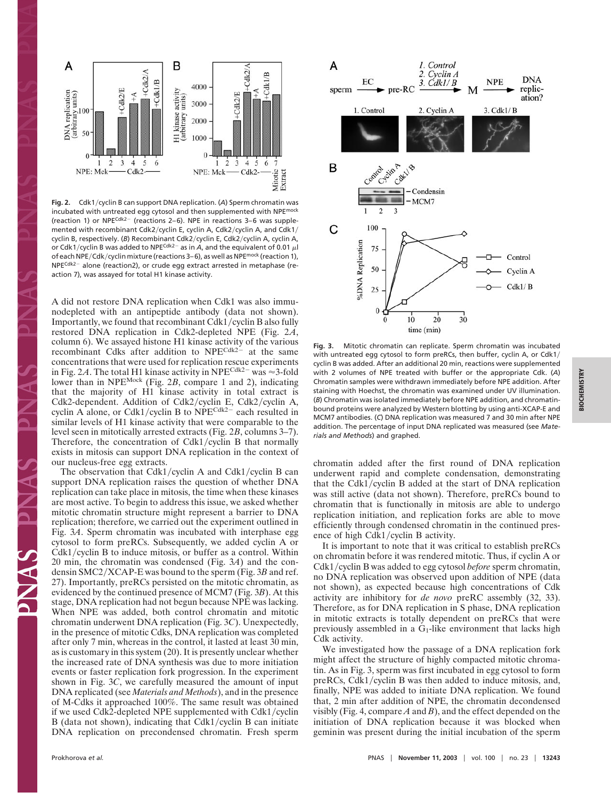

**Fig. 2.** Cdk1/cyclin B can support DNA replication. (A) Sperm chromatin was incubated with untreated egg cytosol and then supplemented with NPE<sup>mock</sup> (reaction 1) or NPE<sup>Cdk2-</sup> (reactions 2–6). NPE in reactions 3–6 was supplemented with recombinant Cdk2/cyclin E, cyclin A, Cdk2/cyclin A, and Cdk1/ cyclin B, respectively. (*B*) Recombinant Cdk2/cyclin E, Cdk2/cyclin A, cyclin A, or Cdk1/cyclin B was added to NPE<sup>Cdk2-</sup> as in  $A$ , and the equivalent of 0.01  $\mu$ l of each NPE/Cdk/cyclin mixture (reactions 3-6), as well as NPE<sup>mock</sup> (reaction 1), NPECdk2- alone (reaction2), or crude egg extract arrested in metaphase (reaction 7), was assayed for total H1 kinase activity.

A did not restore DNA replication when Cdk1 was also immunodepleted with an antipeptide antibody (data not shown). Importantly, we found that recombinant  $Cdk1/cyclin B$  also fully restored DNA replication in Cdk2-depleted NPE (Fig. 2*A*, column 6). We assayed histone H1 kinase activity of the various recombinant Cdks after addition to  $NPE^{Cdk2-}$  at the same concentrations that were used for replication rescue experiments in Fig. 2A. The total H1 kinase activity in NPE<sup>Cdk2-</sup> was  $\approx$ 3-fold lower than in NPEMock (Fig. 2*B*, compare 1 and 2), indicating that the majority of H1 kinase activity in total extract is Cdk2-dependent. Addition of Cdk2/cyclin E, Cdk2/cyclin A, cyclin A alone, or Cdk1/cyclin B to  $NPE^{Cdk2-}$  each resulted in similar levels of H1 kinase activity that were comparable to the level seen in mitotically arrested extracts (Fig. 2*B*, columns 3–7). Therefore, the concentration of  $Cdk1/cyclin B$  that normally exists in mitosis can support DNA replication in the context of our nucleus-free egg extracts.

The observation that Cdk1/cyclin A and Cdk1/cyclin B can support DNA replication raises the question of whether DNA replication can take place in mitosis, the time when these kinases are most active. To begin to address this issue, we asked whether mitotic chromatin structure might represent a barrier to DNA replication; therefore, we carried out the experiment outlined in Fig. 3*A*. Sperm chromatin was incubated with interphase egg cytosol to form preRCs. Subsequently, we added cyclin A or  $Cdk1/cyclin B$  to induce mitosis, or buffer as a control. Within 20 min, the chromatin was condensed (Fig. 3*A*) and the condensin SMC2/XCAP-E was bound to the sperm (Fig. 3*B* and ref. 27). Importantly, preRCs persisted on the mitotic chromatin, as evidenced by the continued presence of MCM7 (Fig. 3*B*). At this stage, DNA replication had not begun because NPE was lacking. When NPE was added, both control chromatin and mitotic chromatin underwent DNA replication (Fig. 3*C*). Unexpectedly, in the presence of mitotic Cdks, DNA replication was completed after only 7 min, whereas in the control, it lasted at least 30 min, as is customary in this system (20). It is presently unclear whether the increased rate of DNA synthesis was due to more initiation events or faster replication fork progression. In the experiment shown in Fig. 3*C*, we carefully measured the amount of input DNA replicated (see *Materials and Methods*), and in the presence of M-Cdks it approached 100%. The same result was obtained if we used Cdk2-depleted NPE supplemented with Cdk1/cyclin B (data not shown), indicating that Cdk1/cyclin B can initiate DNA replication on precondensed chromatin. Fresh sperm



**Fig. 3.** Mitotic chromatin can replicate. Sperm chromatin was incubated with untreated egg cytosol to form preRCs, then buffer, cyclin A, or Cdk1/ cyclin B was added. After an additional 20 min, reactions were supplemented with 2 volumes of NPE treated with buffer or the appropriate Cdk. (*A*) Chromatin samples were withdrawn immediately before NPE addition. After staining with Hoechst, the chromatin was examined under UV illumination. (*B*) Chromatin was isolated immediately before NPE addition, and chromatinbound proteins were analyzed by Western blotting by using anti-XCAP-E and MCM7 antibodies. (*C*) DNA replication was measured 7 and 30 min after NPE addition. The percentage of input DNA replicated was measured (see *Materials and Methods*) and graphed.

chromatin added after the first round of DNA replication underwent rapid and complete condensation, demonstrating that the Cdk1/cyclin B added at the start of DNA replication was still active (data not shown). Therefore, preRCs bound to chromatin that is functionally in mitosis are able to undergo replication initiation, and replication forks are able to move efficiently through condensed chromatin in the continued presence of high Cdk1/cyclin B activity.

It is important to note that it was critical to establish preRCs on chromatin before it was rendered mitotic. Thus, if cyclin A or Cdk1/cyclin B was added to egg cytosol *before* sperm chromatin, no DNA replication was observed upon addition of NPE (data not shown), as expected because high concentrations of Cdk activity are inhibitory for *de novo* preRC assembly (32, 33). Therefore, as for DNA replication in S phase, DNA replication in mitotic extracts is totally dependent on preRCs that were previously assembled in a  $G_1$ -like environment that lacks high Cdk activity.

We investigated how the passage of a DNA replication fork might affect the structure of highly compacted mitotic chromatin. As in Fig. 3, sperm was first incubated in egg cytosol to form preRCs, Cdk1/cyclin B was then added to induce mitosis, and, finally, NPE was added to initiate DNA replication. We found that, 2 min after addition of NPE, the chromatin decondensed visibly (Fig. 4, compare *A* and *B*), and the effect depended on the initiation of DNA replication because it was blocked when geminin was present during the initial incubation of the sperm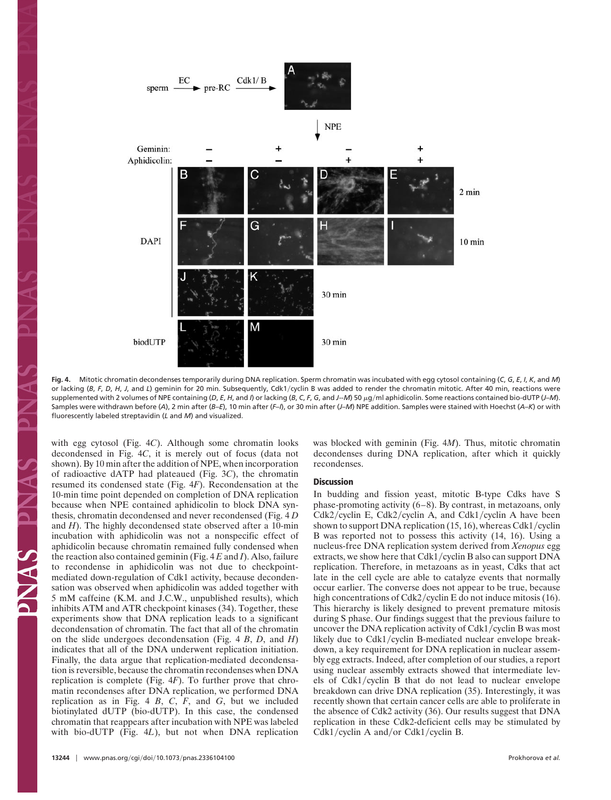

**Fig. 4.** Mitotic chromatin decondenses temporarily during DNA replication. Sperm chromatin was incubated with egg cytosol containing (*C*, *G*, *E*, *I*, *K*, and *M*) or lacking (B, F, D, H, J, and L) geminin for 20 min. Subsequently, Cdk1/cyclin B was added to render the chromatin mitotic. After 40 min, reactions were supplemented with 2 volumes of NPE containing (D, E, H, and I) or lacking (B, C, F, G, and J-M) 50  $\mu$ g/ml aphidicolin. Some reactions contained bio-dUTP (J-M). Samples were withdrawn before (*A*), 2 min after (*B*–*E*), 10 min after (*F*–*I*), or 30 min after (*J*–*M*) NPE addition. Samples were stained with Hoechst (*A*–*K*) or with fluorescently labeled streptavidin (*L* and *M*) and visualized.

with egg cytosol (Fig. 4*C*). Although some chromatin looks decondensed in Fig. 4*C*, it is merely out of focus (data not shown). By 10 min after the addition of NPE, when incorporation of radioactive dATP had plateaued (Fig. 3*C*), the chromatin resumed its condensed state (Fig. 4*F*). Recondensation at the 10-min time point depended on completion of DNA replication because when NPE contained aphidicolin to block DNA synthesis, chromatin decondensed and never recondensed (Fig. 4 *D* and *H*). The highly decondensed state observed after a 10-min incubation with aphidicolin was not a nonspecific effect of aphidicolin because chromatin remained fully condensed when the reaction also contained geminin (Fig. 4 *E* and *I*). Also, failure to recondense in aphidicolin was not due to checkpointmediated down-regulation of Cdk1 activity, because decondensation was observed when aphidicolin was added together with 5 mM caffeine (K.M. and J.C.W., unpublished results), which inhibits ATM and ATR checkpoint kinases (34). Together, these experiments show that DNA replication leads to a significant decondensation of chromatin. The fact that all of the chromatin on the slide undergoes decondensation (Fig. 4 *B*, *D*, and *H*) indicates that all of the DNA underwent replication initiation. Finally, the data argue that replication-mediated decondensation is reversible, because the chromatin recondenses when DNA replication is complete (Fig. 4*F*). To further prove that chromatin recondenses after DNA replication, we performed DNA replication as in Fig. 4 *B*,  $C$ ,  $F$ , and  $G$ , but we included biotinylated dUTP (bio-dUTP). In this case, the condensed chromatin that reappears after incubation with NPE was labeled with bio-dUTP (Fig. 4*L*), but not when DNA replication was blocked with geminin (Fig. 4*M*). Thus, mitotic chromatin decondenses during DNA replication, after which it quickly recondenses.

## **Discussion**

In budding and fission yeast, mitotic B-type Cdks have S phase-promoting activity (6–8). By contrast, in metazoans, only Cdk2/cyclin E, Cdk2/cyclin A, and Cdk1/cyclin A have been shown to support DNA replication (15, 16), whereas Cdk1/cyclin B was reported not to possess this activity (14, 16). Using a nucleus-free DNA replication system derived from *Xenopus* egg extracts, we show here that  $Cdk1/cyclin B$  also can support  $DNA$ replication. Therefore, in metazoans as in yeast, Cdks that act late in the cell cycle are able to catalyze events that normally occur earlier. The converse does not appear to be true, because high concentrations of Cdk2/cyclin E do not induce mitosis (16). This hierarchy is likely designed to prevent premature mitosis during S phase. Our findings suggest that the previous failure to uncover the DNA replication activity of  $Cdk1/cyclin B$  was most likely due to Cdk1/cyclin B-mediated nuclear envelope breakdown, a key requirement for DNA replication in nuclear assembly egg extracts. Indeed, after completion of our studies, a report using nuclear assembly extracts showed that intermediate levels of  $Cdk1/cyclin B$  that do not lead to nuclear envelope breakdown can drive DNA replication (35). Interestingly, it was recently shown that certain cancer cells are able to proliferate in the absence of Cdk2 activity (36). Our results suggest that DNA replication in these Cdk2-deficient cells may be stimulated by Cdk1/cyclin A and/or Cdk1/cyclin B.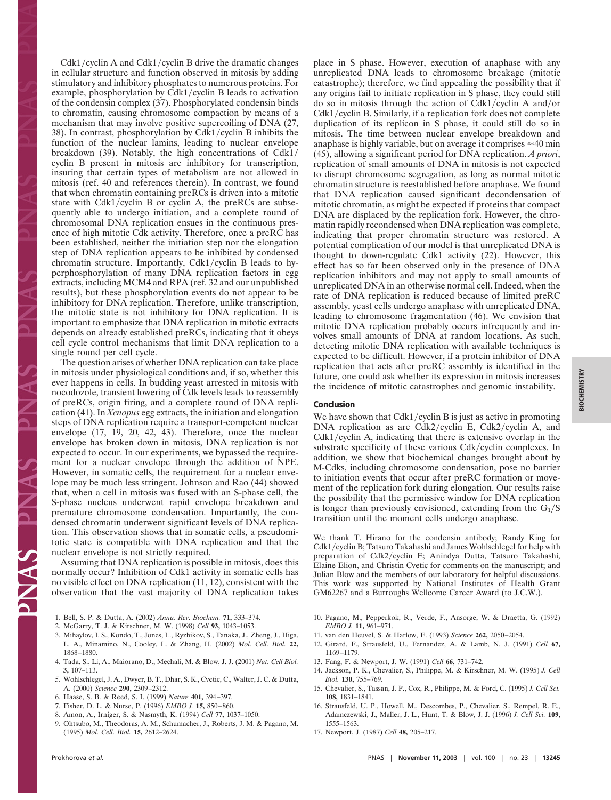$Cdk1/cyclin A$  and  $Cdk1/cyclin B$  drive the dramatic changes in cellular structure and function observed in mitosis by adding stimulatory and inhibitory phosphates to numerous proteins. For example, phosphorylation by Cdk1/cyclin B leads to activation of the condensin complex (37). Phosphorylated condensin binds to chromatin, causing chromosome compaction by means of a mechanism that may involve positive supercoiling of DNA (27, 38). In contrast, phosphorylation by Cdk1/cyclin B inhibits the function of the nuclear lamins, leading to nuclear envelope breakdown (39). Notably, the high concentrations of Cdk1 cyclin B present in mitosis are inhibitory for transcription, insuring that certain types of metabolism are not allowed in mitosis (ref. 40 and references therein). In contrast, we found that when chromatin containing preRCs is driven into a mitotic state with Cdk1/cyclin B or cyclin A, the preRCs are subsequently able to undergo initiation, and a complete round of chromosomal DNA replication ensues in the continuous presence of high mitotic Cdk activity. Therefore, once a preRC has been established, neither the initiation step nor the elongation step of DNA replication appears to be inhibited by condensed chromatin structure. Importantly, Cdk1/cyclin B leads to hyperphosphorylation of many DNA replication factors in egg extracts, including MCM4 and RPA (ref. 32 and our unpublished results), but these phosphorylation events do not appear to be inhibitory for DNA replication. Therefore, unlike transcription, the mitotic state is not inhibitory for DNA replication. It is important to emphasize that DNA replication in mitotic extracts depends on already established preRCs, indicating that it obeys cell cycle control mechanisms that limit DNA replication to a single round per cell cycle.

The question arises of whether DNA replication can take place in mitosis under physiological conditions and, if so, whether this ever happens in cells. In budding yeast arrested in mitosis with nocodozole, transient lowering of Cdk levels leads to reassembly of preRCs, origin firing, and a complete round of DNA replication (41). In *Xenopus* egg extracts, the initiation and elongation steps of DNA replication require a transport-competent nuclear envelope (17, 19, 20, 42, 43). Therefore, once the nuclear envelope has broken down in mitosis, DNA replication is not expected to occur. In our experiments, we bypassed the requirement for a nuclear envelope through the addition of NPE. However, in somatic cells, the requirement for a nuclear envelope may be much less stringent. Johnson and Rao (44) showed that, when a cell in mitosis was fused with an S-phase cell, the S-phase nucleus underwent rapid envelope breakdown and premature chromosome condensation. Importantly, the condensed chromatin underwent significant levels of DNA replication. This observation shows that in somatic cells, a pseudomitotic state is compatible with DNA replication and that the nuclear envelope is not strictly required.

Assuming that DNA replication is possible in mitosis, does this normally occur? Inhibition of Cdk1 activity in somatic cells has no visible effect on DNA replication (11, 12), consistent with the observation that the vast majority of DNA replication takes

- 1. Bell, S. P. & Dutta, A. (2002) *Annu. Rev. Biochem.* **71,** 333–374.
- 2. McGarry, T. J. & Kirschner, M. W. (1998) *Cell* **93,** 1043–1053.
- 3. Mihaylov, I. S., Kondo, T., Jones, L., Ryzhikov, S., Tanaka, J., Zheng, J., Higa, L. A., Minamino, N., Cooley, L. & Zhang, H. (2002) *Mol. Cell. Biol.* **22,** 1868–1880.
- 4. Tada, S., Li, A., Maiorano, D., Mechali, M. & Blow, J. J. (2001) *Nat. Cell Biol.* **3,** 107–113.
- 5. Wohlschlegel, J. A., Dwyer, B. T., Dhar, S. K., Cvetic, C., Walter, J. C. & Dutta, A. (2000) *Science* **290,** 2309–2312.
- 6. Haase, S. B. & Reed, S. I. (1999) *Nature* **401,** 394–397.
- 7. Fisher, D. L. & Nurse, P. (1996) *EMBO J.* **15,** 850–860.
- 8. Amon, A., Irniger, S. & Nasmyth, K. (1994) *Cell* **77,** 1037–1050.
- 9. Ohtsubo, M., Theodoras, A. M., Schumacher, J., Roberts, J. M. & Pagano, M. (1995) *Mol. Cell. Biol.* **15,** 2612–2624.

place in S phase. However, execution of anaphase with any unreplicated DNA leads to chromosome breakage (mitotic catastrophe); therefore, we find appealing the possibility that if any origins fail to initiate replication in S phase, they could still do so in mitosis through the action of Cdk1/cyclin A and/or Cdk1/cyclin B. Similarly, if a replication fork does not complete duplication of its replicon in S phase, it could still do so in mitosis. The time between nuclear envelope breakdown and anaphase is highly variable, but on average it comprises  $\approx 40$  min (45), allowing a significant period for DNA replication. *A priori*, replication of small amounts of DNA in mitosis is not expected to disrupt chromosome segregation, as long as normal mitotic chromatin structure is reestablished before anaphase. We found that DNA replication caused significant decondensation of mitotic chromatin, as might be expected if proteins that compact DNA are displaced by the replication fork. However, the chromatin rapidly recondensed when DNA replication was complete, indicating that proper chromatin structure was restored. A potential complication of our model is that unreplicated DNA is thought to down-regulate Cdk1 activity (22). However, this effect has so far been observed only in the presence of DNA replication inhibitors and may not apply to small amounts of unreplicated DNA in an otherwise normal cell. Indeed, when the rate of DNA replication is reduced because of limited preRC assembly, yeast cells undergo anaphase with unreplicated DNA, leading to chromosome fragmentation (46). We envision that mitotic DNA replication probably occurs infrequently and involves small amounts of DNA at random locations. As such, detecting mitotic DNA replication with available techniques is expected to be difficult. However, if a protein inhibitor of DNA replication that acts after preRC assembly is identified in the future, one could ask whether its expression in mitosis increases the incidence of mitotic catastrophes and genomic instability.

### **Conclusion**

We have shown that  $Cdk1/cyclin B$  is just as active in promoting DNA replication as are Cdk2/cyclin E, Cdk2/cyclin A, and  $Cdk1/cyclin A$ , indicating that there is extensive overlap in the substrate specificity of these various Cdk/cyclin complexes. In addition, we show that biochemical changes brought about by M-Cdks, including chromosome condensation, pose no barrier to initiation events that occur after preRC formation or movement of the replication fork during elongation. Our results raise the possibility that the permissive window for DNA replication is longer than previously envisioned, extending from the  $G_1/S$ transition until the moment cells undergo anaphase.

We thank T. Hirano for the condensin antibody; Randy King for Cdk1/cyclin B; Tatsuro Takahashi and James Wohlschlegel for help with preparation of Cdk2/cyclin E; Anindya Dutta, Tatsuro Takahashi, Elaine Elion, and Christin Cvetic for comments on the manuscript; and Julian Blow and the members of our laboratory for helpful discussions. This work was supported by National Institutes of Health Grant GM62267 and a Burroughs Wellcome Career Award (to J.C.W.).

- 10. Pagano, M., Pepperkok, R., Verde, F., Ansorge, W. & Draetta, G. (1992) *EMBO J.* **11,** 961–971.
- 11. van den Heuvel, S. & Harlow, E. (1993) *Science* **262,** 2050–2054.
- 12. Girard, F., Strausfeld, U., Fernandez, A. & Lamb, N. J. (1991) *Cell* **67,** 1169–1179.
- 13. Fang, F. & Newport, J. W. (1991) *Cell* **66,** 731–742.
- 14. Jackson, P. K., Chevalier, S., Philippe, M. & Kirschner, M. W. (1995) *J. Cell Biol.* **130,** 755–769.
- 15. Chevalier, S., Tassan, J. P., Cox, R., Philippe, M. & Ford, C. (1995) *J. Cell Sci.* **108,** 1831–1841.
- 16. Strausfeld, U. P., Howell, M., Descombes, P., Chevalier, S., Rempel, R. E., Adamczewski, J., Maller, J. L., Hunt, T. & Blow, J. J. (1996) *J. Cell Sci.* **109,** 1555–1563.
- 17. Newport, J. (1987) *Cell* **48,** 205–217.

ZNN.